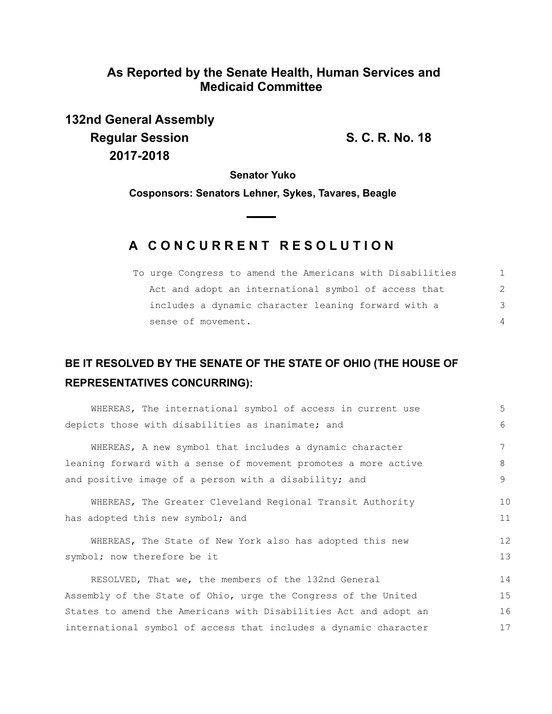## **As Reported by the Senate Health, Human Services and Medicaid Committee**

**132nd General Assembly Regular Session S. C. R. No. 18 2017-2018**

**Senator Yuko**

**Cosponsors: Senators Lehner, Sykes, Tavares, Beagle**

## **A C O N C U R R E N T R E S O L U T I O N**

| To urge Congress to amend the Americans with Disabilities |               |
|-----------------------------------------------------------|---------------|
| Act and adopt an international symbol of access that      | $\mathcal{P}$ |
| includes a dynamic character leaning forward with a       | 3             |
| sense of movement.                                        | $\Delta$      |

## **BE IT RESOLVED BY THE SENATE OF THE STATE OF OHIO (THE HOUSE OF REPRESENTATIVES CONCURRING):**

| WHEREAS, The international symbol of access in current use       | 5                 |
|------------------------------------------------------------------|-------------------|
| depicts those with disabilities as inanimate; and                | 6                 |
| WHEREAS, A new symbol that includes a dynamic character          |                   |
| leaning forward with a sense of movement promotes a more active  | 8                 |
| and positive image of a person with a disability; and            | 9                 |
| WHEREAS, The Greater Cleveland Regional Transit Authority        | 10                |
| has adopted this new symbol; and                                 | 11                |
| WHEREAS, The State of New York also has adopted this new         | $12 \overline{ }$ |
| symbol; now therefore be it                                      | 13                |
| RESOLVED, That we, the members of the 132nd General              | 14                |
| Assembly of the State of Ohio, urge the Congress of the United   | 15                |
| States to amend the Americans with Disabilities Act and adopt an | 16                |
| international symbol of access that includes a dynamic character | 17                |